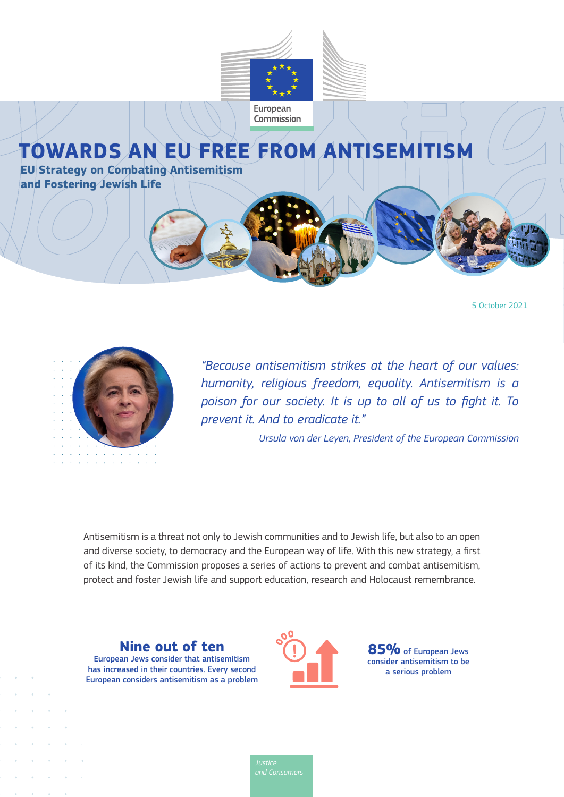

# **TOWARDS AN EU FREE FROM ANTISEMITISM**

**EU Strategy on Combating Antisemitism and Fostering Jewish Life**





*"Because antisemitism strikes at the heart of our values: humanity, religious freedom, equality. Antisemitism is a poison for our society. It is up to all of us to fight it. To prevent it. And to eradicate it."*

*Ursula von der Leyen, President of the European Commission*

Antisemitism is a threat not only to Jewish communities and to Jewish life, but also to an open and diverse society, to democracy and the European way of life. With this new strategy, a first of its kind, the Commission proposes a series of actions to prevent and combat antisemitism, protect and foster Jewish life and support education, research and Holocaust remembrance.

**Nine out of ten** European Jews consider that antisemitism has increased in their countries. Every second European considers antisemitism as a problem



**85%** of European Jews consider antisemitism to be a serious problem

*and Consumers*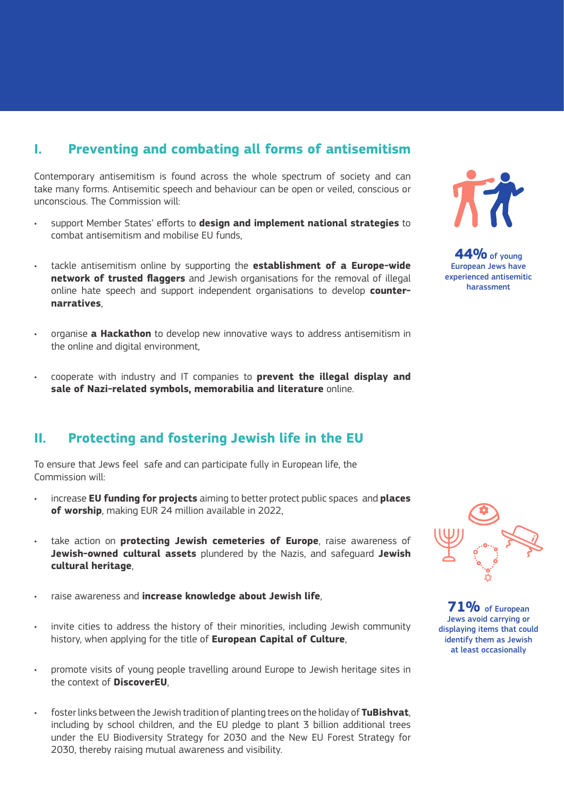## **I. Preventing and combating all forms of antisemitism**

Contemporary antisemitism is found across the whole spectrum of society and can take many forms. Antisemitic speech and behaviour can be open or veiled, conscious or unconscious. The Commission will:

- support Member States' efforts to **design and implement national strategies** to combat antisemitism and mobilise EU funds,
- tackle antisemitism online by supporting the **establishment of a Europe-wide network of trusted flaggers** and Jewish organisations for the removal of illegal online hate speech and support independent organisations to develop **counternarratives**,
- organise **a Hackathon** to develop new innovative ways to address antisemitism in the online and digital environment,
- cooperate with industry and IT companies to **prevent the illegal display and sale of Nazi-related symbols, memorabilia and literature** online.

#### **II. Protecting and fostering Jewish life in the EU**

To ensure that Jews feel safe and can participate fully in European life, the Commission will:

- increase **EU funding for projects** aiming to better protect public spaces and **places of worship**, making EUR 24 million available in 2022,
- take action on **protecting Jewish cemeteries of Europe**, raise awareness of **Jewish-owned cultural assets** plundered by the Nazis, and safeguard **Jewish cultural heritage**,
- raise awareness and **increase knowledge about Jewish life**,
- invite cities to address the history of their minorities, including Jewish community history, when applying for the title of **European Capital of Culture**,
- promote visits of young people travelling around Europe to Jewish heritage sites in the context of **DiscoverEU**,
- foster links between the Jewish tradition of planting trees on the holiday of **TuBishvat**, including by school children, and the EU pledge to plant 3 billion additional trees under the EU Biodiversity Strategy for 2030 and the New EU Forest Strategy for 2030, thereby raising mutual awareness and visibility.



**44%** of young European Jews have experienced antisemitic harassment



**71%** of European Jews avoid carrying or displaying items that could identify them as Jewish at least occasionally